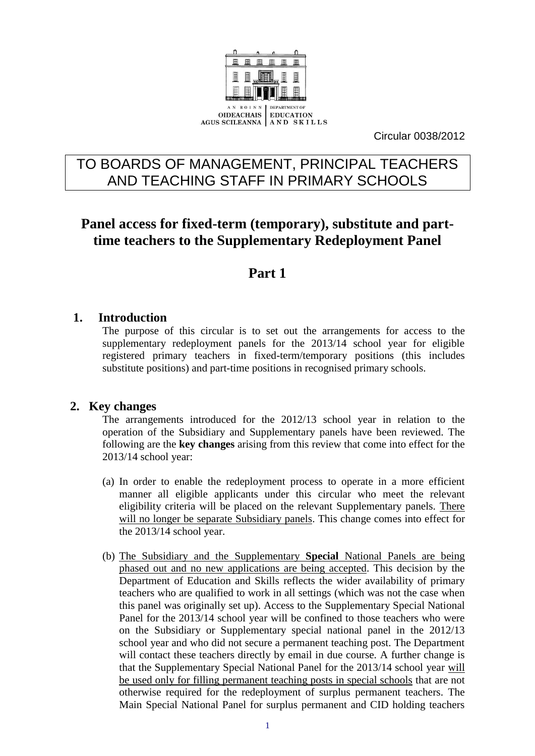

Circular 0038/2012

# TO BOARDS OF MANAGEMENT, PRINCIPAL TEACHERS AND TEACHING STAFF IN PRIMARY SCHOOLS

# **Panel access for fixed-term (temporary), substitute and parttime teachers to the Supplementary Redeployment Panel**

# **Part 1**

## **1. Introduction**

The purpose of this circular is to set out the arrangements for access to the supplementary redeployment panels for the 2013/14 school year for eligible registered primary teachers in fixed-term/temporary positions (this includes substitute positions) and part-time positions in recognised primary schools.

## **2. Key changes**

The arrangements introduced for the 2012/13 school year in relation to the operation of the Subsidiary and Supplementary panels have been reviewed. The following are the **key changes** arising from this review that come into effect for the 2013/14 school year:

- (a) In order to enable the redeployment process to operate in a more efficient manner all eligible applicants under this circular who meet the relevant eligibility criteria will be placed on the relevant Supplementary panels. There will no longer be separate Subsidiary panels. This change comes into effect for the 2013/14 school year.
- (b) The Subsidiary and the Supplementary **Special** National Panels are being phased out and no new applications are being accepted. This decision by the Department of Education and Skills reflects the wider availability of primary teachers who are qualified to work in all settings (which was not the case when this panel was originally set up). Access to the Supplementary Special National Panel for the 2013/14 school year will be confined to those teachers who were on the Subsidiary or Supplementary special national panel in the 2012/13 school year and who did not secure a permanent teaching post. The Department will contact these teachers directly by email in due course. A further change is that the Supplementary Special National Panel for the 2013/14 school year will be used only for filling permanent teaching posts in special schools that are not otherwise required for the redeployment of surplus permanent teachers. The Main Special National Panel for surplus permanent and CID holding teachers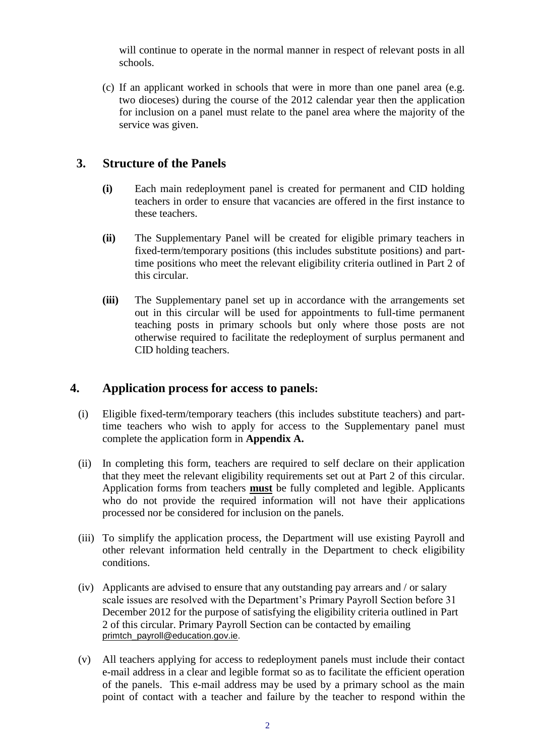will continue to operate in the normal manner in respect of relevant posts in all schools.

(c) If an applicant worked in schools that were in more than one panel area (e.g. two dioceses) during the course of the 2012 calendar year then the application for inclusion on a panel must relate to the panel area where the majority of the service was given.

# **3. Structure of the Panels**

- **(i)** Each main redeployment panel is created for permanent and CID holding teachers in order to ensure that vacancies are offered in the first instance to these teachers.
- **(ii)** The Supplementary Panel will be created for eligible primary teachers in fixed-term/temporary positions (this includes substitute positions) and parttime positions who meet the relevant eligibility criteria outlined in Part 2 of this circular.
- **(iii)** The Supplementary panel set up in accordance with the arrangements set out in this circular will be used for appointments to full-time permanent teaching posts in primary schools but only where those posts are not otherwise required to facilitate the redeployment of surplus permanent and CID holding teachers.

# **4. Application process for access to panels:**

- (i) Eligible fixed-term/temporary teachers (this includes substitute teachers) and parttime teachers who wish to apply for access to the Supplementary panel must complete the application form in **Appendix A.**
- (ii) In completing this form, teachers are required to self declare on their application that they meet the relevant eligibility requirements set out at Part 2 of this circular. Application forms from teachers **must** be fully completed and legible. Applicants who do not provide the required information will not have their applications processed nor be considered for inclusion on the panels.
- (iii) To simplify the application process, the Department will use existing Payroll and other relevant information held centrally in the Department to check eligibility conditions.
- (iv) Applicants are advised to ensure that any outstanding pay arrears and / or salary scale issues are resolved with the Department's Primary Payroll Section before 31 December 2012 for the purpose of satisfying the eligibility criteria outlined in Part 2 of this circular. Primary Payroll Section can be contacted by emailing [primtch\\_payroll@education.gov.ie.](mailto:primtch_payroll@education.gov.ie)
- (v) All teachers applying for access to redeployment panels must include their contact e-mail address in a clear and legible format so as to facilitate the efficient operation of the panels. This e-mail address may be used by a primary school as the main point of contact with a teacher and failure by the teacher to respond within the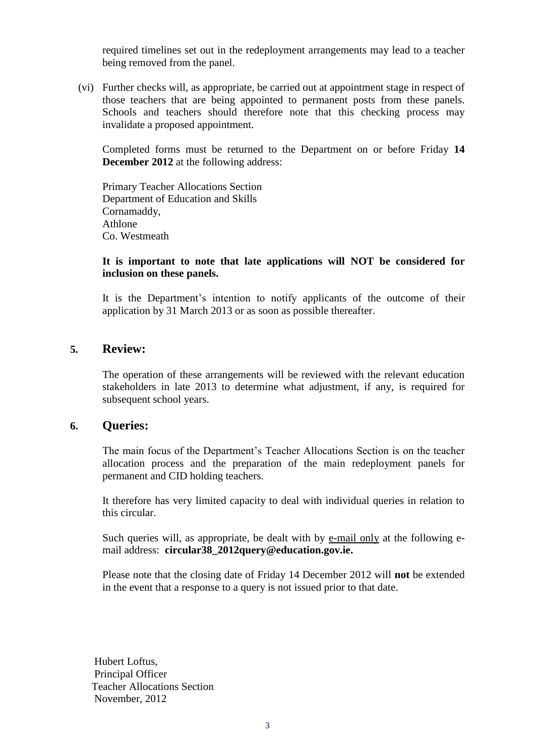required timelines set out in the redeployment arrangements may lead to a teacher being removed from the panel.

(vi) Further checks will, as appropriate, be carried out at appointment stage in respect of those teachers that are being appointed to permanent posts from these panels. Schools and teachers should therefore note that this checking process may invalidate a proposed appointment.

Completed forms must be returned to the Department on or before Friday **14 December 2012** at the following address:

Primary Teacher Allocations Section Department of Education and Skills Cornamaddy, Athlone Co. Westmeath

### **It is important to note that late applications will NOT be considered for inclusion on these panels.**

It is the Department's intention to notify applicants of the outcome of their application by 31 March 2013 or as soon as possible thereafter.

## **5. Review:**

The operation of these arrangements will be reviewed with the relevant education stakeholders in late 2013 to determine what adjustment, if any, is required for subsequent school years.

#### **6. Queries:**

The main focus of the Department's Teacher Allocations Section is on the teacher allocation process and the preparation of the main redeployment panels for permanent and CID holding teachers.

It therefore has very limited capacity to deal with individual queries in relation to this circular.

Such queries will, as appropriate, be dealt with by e-mail only at the following email address: **[circular38\\_2012query@education.gov.ie.](mailto:circular38_2012query@education.gov.ie)**

Please note that the closing date of Friday 14 December 2012 will **not** be extended in the event that a response to a query is not issued prior to that date.

Hubert Loftus, Principal Officer Teacher Allocations Section November, 2012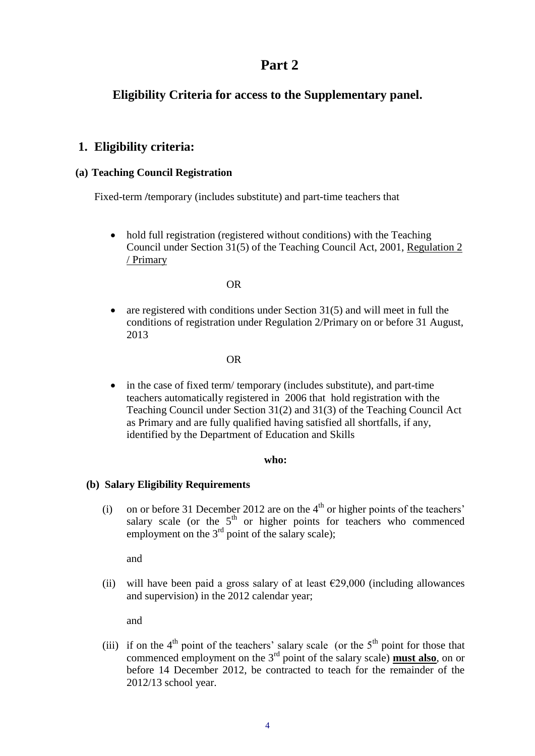# **Part 2**

# **Eligibility Criteria for access to the Supplementary panel.**

## **1. Eligibility criteria:**

### **(a) Teaching Council Registration**

Fixed-term **/**temporary (includes substitute) and part-time teachers that

• hold full registration (registered without conditions) with the Teaching Council under Section 31(5) of the Teaching Council Act, 2001, Regulation 2 / Primary

#### OR

 are registered with conditions under Section 31(5) and will meet in full the conditions of registration under Regulation 2/Primary on or before 31 August, 2013

### OR

• in the case of fixed term/ temporary (includes substitute), and part-time teachers automatically registered in 2006 that hold registration with the Teaching Council under Section 31(2) and 31(3) of the Teaching Council Act as Primary and are fully qualified having satisfied all shortfalls, if any, identified by the Department of Education and Skills

#### **who:**

#### **(b) Salary Eligibility Requirements**

(i) on or before 31 December 2012 are on the  $4<sup>th</sup>$  or higher points of the teachers' salary scale (or the  $5<sup>th</sup>$  or higher points for teachers who commenced employment on the  $3<sup>rd</sup>$  point of the salary scale);

and

(ii) will have been paid a gross salary of at least  $\epsilon$ 29,000 (including allowances and supervision) in the 2012 calendar year;

and

(iii) if on the  $4<sup>th</sup>$  point of the teachers' salary scale (or the  $5<sup>th</sup>$  point for those that commenced employment on the 3rd point of the salary scale) **must also**, on or before 14 December 2012, be contracted to teach for the remainder of the 2012/13 school year.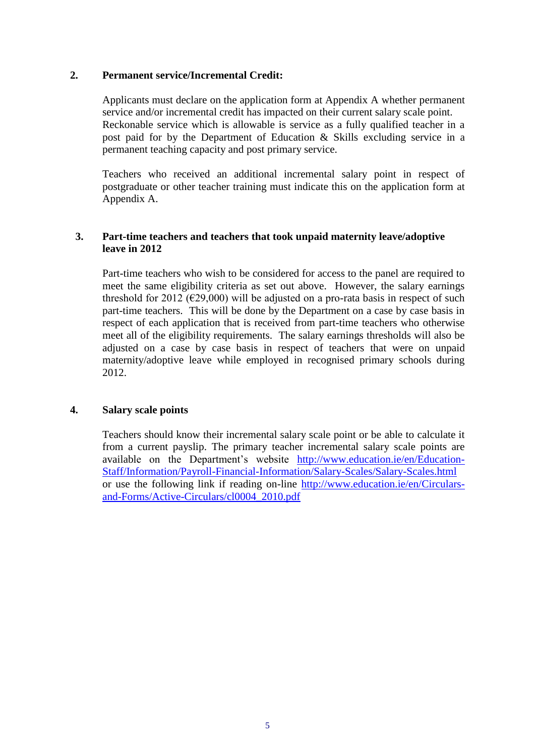### **2. Permanent service/Incremental Credit:**

Applicants must declare on the application form at Appendix A whether permanent service and/or incremental credit has impacted on their current salary scale point. Reckonable service which is allowable is service as a fully qualified teacher in a post paid for by the Department of Education & Skills excluding service in a permanent teaching capacity and post primary service.

Teachers who received an additional incremental salary point in respect of postgraduate or other teacher training must indicate this on the application form at Appendix A.

### **3. Part-time teachers and teachers that took unpaid maternity leave/adoptive leave in 2012**

Part-time teachers who wish to be considered for access to the panel are required to meet the same eligibility criteria as set out above. However, the salary earnings threshold for 2012 ( $\epsilon$ 29,000) will be adjusted on a pro-rata basis in respect of such part-time teachers. This will be done by the Department on a case by case basis in respect of each application that is received from part-time teachers who otherwise meet all of the eligibility requirements. The salary earnings thresholds will also be adjusted on a case by case basis in respect of teachers that were on unpaid maternity/adoptive leave while employed in recognised primary schools during 2012.

#### **4. Salary scale points**

Teachers should know their incremental salary scale point or be able to calculate it from a current payslip. The primary teacher incremental salary scale points are available on the Department's website [http://www.education.ie/en/Education-](http://www.education.ie/en/Education-Staff/Information/Payroll-Financial-Information/Salary-Scales/Salary-Scales.html)[Staff/Information/Payroll-Financial-Information/Salary-Scales/Salary-Scales.html](http://www.education.ie/en/Education-Staff/Information/Payroll-Financial-Information/Salary-Scales/Salary-Scales.html) or use the following link if reading on-line [http://www.education.ie/en/Circulars](http://www.education.ie/en/Circulars-and-Forms/Active-Circulars/cl0004_2010.pdf)[and-Forms/Active-Circulars/cl0004\\_2010.pdf](http://www.education.ie/en/Circulars-and-Forms/Active-Circulars/cl0004_2010.pdf)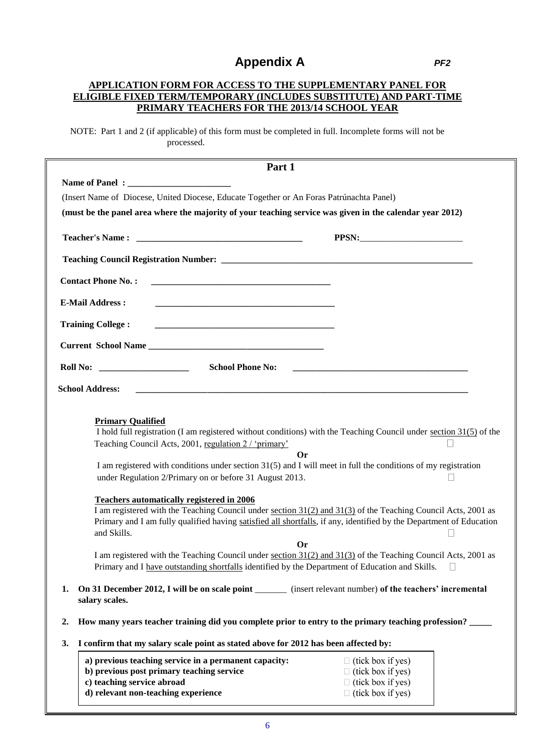# **Appendix A** *PF2*

#### **APPLICATION FORM FOR ACCESS TO THE SUPPLEMENTARY PANEL FOR ELIGIBLE FIXED TERM/TEMPORARY (INCLUDES SUBSTITUTE) AND PART-TIME PRIMARY TEACHERS FOR THE 2013/14 SCHOOL YEAR**

NOTE: Part 1 and 2 (if applicable) of this form must be completed in full. Incomplete forms will not be processed.

|                           | Part 1                                                                                                                                                                                                                                                                                  |                                                                                   |  |
|---------------------------|-----------------------------------------------------------------------------------------------------------------------------------------------------------------------------------------------------------------------------------------------------------------------------------------|-----------------------------------------------------------------------------------|--|
|                           |                                                                                                                                                                                                                                                                                         |                                                                                   |  |
|                           | (Insert Name of Diocese, United Diocese, Educate Together or An Foras Patrúnachta Panel)                                                                                                                                                                                                |                                                                                   |  |
|                           | (must be the panel area where the majority of your teaching service was given in the calendar year 2012)                                                                                                                                                                                |                                                                                   |  |
|                           |                                                                                                                                                                                                                                                                                         |                                                                                   |  |
|                           |                                                                                                                                                                                                                                                                                         |                                                                                   |  |
| <b>Contact Phone No.:</b> |                                                                                                                                                                                                                                                                                         |                                                                                   |  |
| <b>E-Mail Address:</b>    |                                                                                                                                                                                                                                                                                         |                                                                                   |  |
| <b>Training College:</b>  | <u> 1980 - Johann Barbara, martxa alemaniar argumento de la contrada de la contrada de la contrada de la contrad</u>                                                                                                                                                                    |                                                                                   |  |
|                           |                                                                                                                                                                                                                                                                                         |                                                                                   |  |
|                           | <b>Roll No:</b> ______________________<br><b>School Phone No:</b>                                                                                                                                                                                                                       | <u> 1980 - Johann Stein, Amerikaansk politik fan de Amerikaansk kommunister (</u> |  |
| <b>School Address:</b>    |                                                                                                                                                                                                                                                                                         |                                                                                   |  |
|                           |                                                                                                                                                                                                                                                                                         |                                                                                   |  |
|                           | <b>Primary Qualified</b><br>I hold full registration (I am registered without conditions) with the Teaching Council under section $31(5)$ of the<br>Teaching Council Acts, 2001, regulation 2 / 'primary'                                                                               |                                                                                   |  |
|                           | <b>Or</b>                                                                                                                                                                                                                                                                               |                                                                                   |  |
|                           | I am registered with conditions under section 31(5) and I will meet in full the conditions of my registration<br>under Regulation 2/Primary on or before 31 August 2013.                                                                                                                |                                                                                   |  |
| and Skills.               | Teachers automatically registered in 2006<br>I am registered with the Teaching Council under section 31(2) and 31(3) of the Teaching Council Acts, 2001 as<br>Primary and I am fully qualified having satisfied all shortfalls, if any, identified by the Department of Education<br>0r |                                                                                   |  |
|                           | I am registered with the Teaching Council under section 31(2) and 31(3) of the Teaching Council Acts, 2001 as<br>Primary and I have outstanding shortfalls identified by the Department of Education and Skills.                                                                        |                                                                                   |  |
| 1.<br>salary scales.      | On 31 December 2012, I will be on scale point _________ (insert relevant number) of the teachers' incremental                                                                                                                                                                           |                                                                                   |  |
| 2.                        | How many years teacher training did you complete prior to entry to the primary teaching profession?                                                                                                                                                                                     |                                                                                   |  |
| 3.                        | I confirm that my salary scale point as stated above for 2012 has been affected by:                                                                                                                                                                                                     |                                                                                   |  |
|                           | a) previous teaching service in a permanent capacity:                                                                                                                                                                                                                                   | $\Box$ (tick box if yes)                                                          |  |
|                           | b) previous post primary teaching service                                                                                                                                                                                                                                               | $\Box$ (tick box if yes)                                                          |  |
|                           | c) teaching service abroad<br>d) relevant non-teaching experience                                                                                                                                                                                                                       | $\Box$ (tick box if yes)<br>$\Box$ (tick box if yes)                              |  |
|                           |                                                                                                                                                                                                                                                                                         |                                                                                   |  |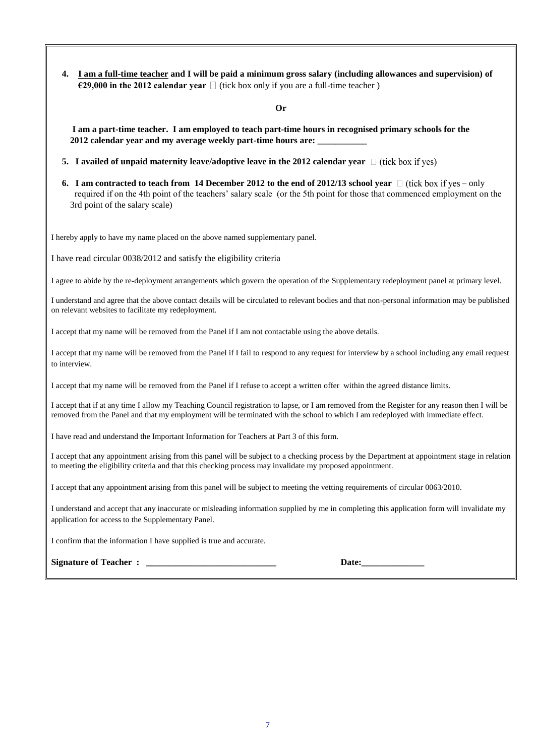**4. I am a full-time teacher and I will be paid a minimum gross salary (including allowances and supervision) of €29,000 in the 2012 calendar year**  $\Box$  (tick box only if you are a full-time teacher)

**Or**

**I am a part-time teacher. I am employed to teach part-time hours in recognised primary schools for the**  2012 calendar year and my average weekly part-time hours are:

- **5. I** availed of unpaid maternity leave/adoptive leave in the 2012 calendar year  $\Box$  (tick box if yes)
- **6. I** am contracted to teach from 14 December 2012 to the end of 2012/13 school year  $\Box$  (tick box if yes only required if on the 4th point of the teachers' salary scale (or the 5th point for those that commenced employment on the 3rd point of the salary scale)

I hereby apply to have my name placed on the above named supplementary panel.

I have read circular 0038/2012 and satisfy the eligibility criteria

I agree to abide by the re-deployment arrangements which govern the operation of the Supplementary redeployment panel at primary level.

I understand and agree that the above contact details will be circulated to relevant bodies and that non-personal information may be published on relevant websites to facilitate my redeployment.

I accept that my name will be removed from the Panel if I am not contactable using the above details.

I accept that my name will be removed from the Panel if I fail to respond to any request for interview by a school including any email request to interview.

I accept that my name will be removed from the Panel if I refuse to accept a written offer within the agreed distance limits.

I accept that if at any time I allow my Teaching Council registration to lapse, or I am removed from the Register for any reason then I will be removed from the Panel and that my employment will be terminated with the school to which I am redeployed with immediate effect.

I have read and understand the Important Information for Teachers at Part 3 of this form.

I accept that any appointment arising from this panel will be subject to a checking process by the Department at appointment stage in relation to meeting the eligibility criteria and that this checking process may invalidate my proposed appointment.

I accept that any appointment arising from this panel will be subject to meeting the vetting requirements of circular 0063/2010.

I understand and accept that any inaccurate or misleading information supplied by me in completing this application form will invalidate my application for access to the Supplementary Panel.

I confirm that the information I have supplied is true and accurate.

| <b>Signature of Teacher</b> |  |  |
|-----------------------------|--|--|
|-----------------------------|--|--|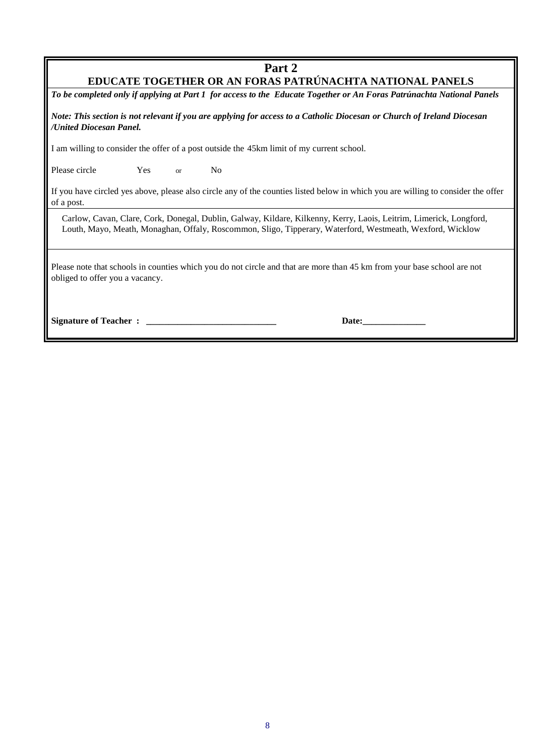### **Part 2**

### **EDUCATE TOGETHER OR AN FORAS PATRÚNACHTA NATIONAL PANELS**

*To be completed only if applying at Part 1 for access to the Educate Together or An Foras Patrúnachta National Panels* 

*Note: This section is not relevant if you are applying for access to a Catholic Diocesan or Church of Ireland Diocesan /United Diocesan Panel.*

I am willing to consider the offer of a post outside the 45km limit of my current school.

Please circle Yes or No

If you have circled yes above, please also circle any of the counties listed below in which you are willing to consider the offer of a post.

Carlow, Cavan, Clare, Cork, Donegal, Dublin, Galway, Kildare, Kilkenny, Kerry, Laois, Leitrim, Limerick, Longford, Louth, Mayo, Meath, Monaghan, Offaly, Roscommon, Sligo, Tipperary, Waterford, Westmeath, Wexford, Wicklow

Please note that schools in counties which you do not circle and that are more than 45 km from your base school are not obliged to offer you a vacancy.

**Signature of Teacher :**  <br> **Signature of Teacher :**